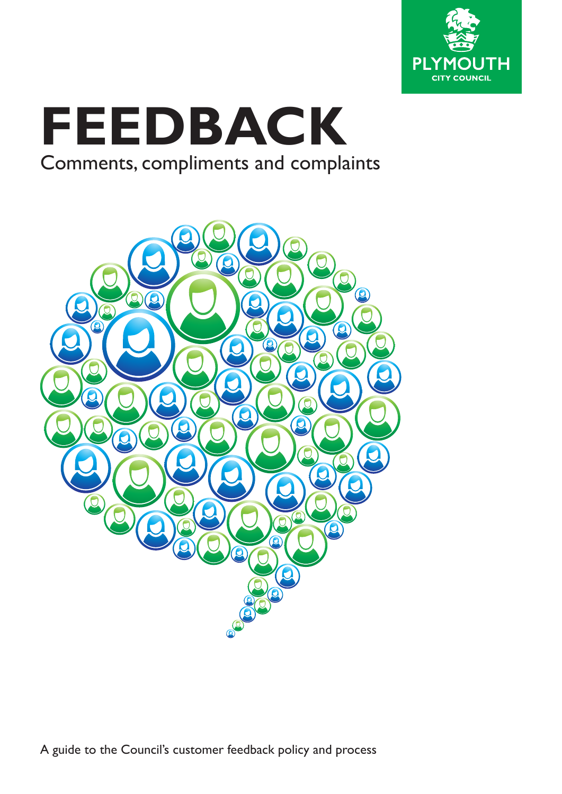

# **FEEDBACK** Comments, compliments and complaints

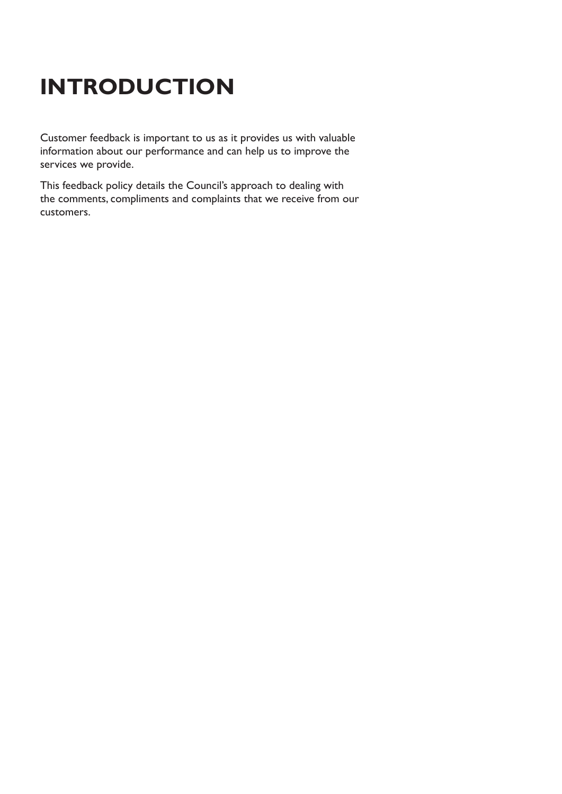## **INTRODUCTION**

Customer feedback is important to us as it provides us with valuable information about our performance and can help us to improve the services we provide.

This feedback policy details the Council's approach to dealing with the comments, compliments and complaints that we receive from our customers.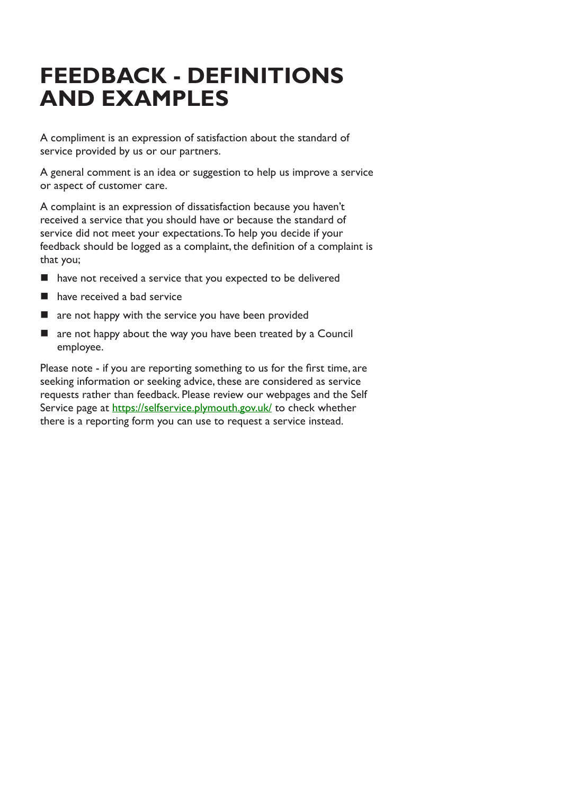### **FEEDBACK - DEFINITIONS AND EXAMPLES**

A compliment is an expression of satisfaction about the standard of service provided by us or our partners.

A general comment is an idea or suggestion to help us improve a service or aspect of customer care.

A complaint is an expression of dissatisfaction because you haven't received a service that you should have or because the standard of service did not meet your expectations. To help you decide if your feedback should be logged as a complaint, the definition of a complaint is that you;

- have not received a service that you expected to be delivered
- have received a bad service
- are not happy with the service you have been provided
- **T** are not happy about the way you have been treated by a Council employee.

Please note - if you are reporting something to us for the first time, are seeking information or seeking advice, these are considered as service requests rather than feedback. Please review our webpages and the Self Service page at https://selfservice.plymouth.gov.uk/ to check whether there is a reporting form you can use to request a service instead.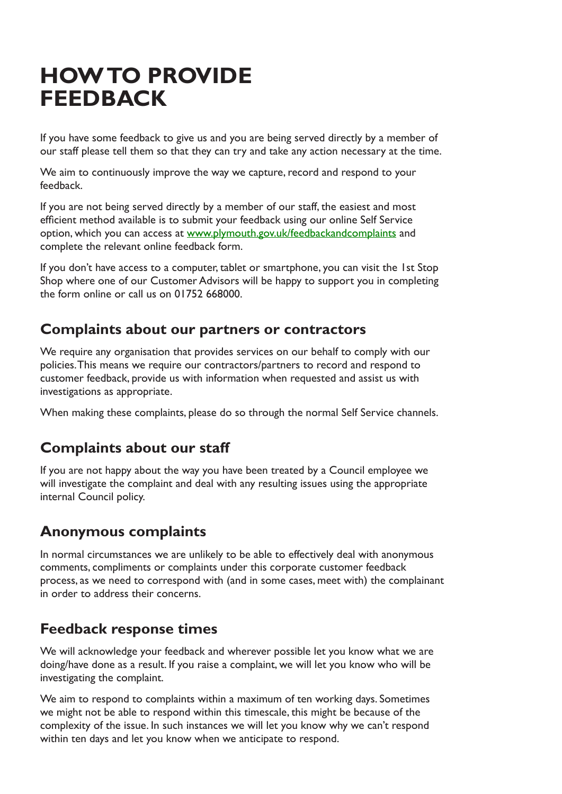### **HOW TO PROVIDE FEEDBACK**

If you have some feedback to give us and you are being served directly by a member of our staff please tell them so that they can try and take any action necessary at the time.

We aim to continuously improve the way we capture, record and respond to your feedback.

If you are not being served directly by a member of our staff, the easiest and most efficient method available is to submit your feedback using our online Self Service option, which you can access at www.plymouth.gov.uk/feedbackandcomplaints and complete the relevant online feedback form.

If you don't have access to a computer, tablet or smartphone, you can visit the 1st Stop Shop where one of our Customer Advisors will be happy to support you in completing the form online or call us on 01752 668000.

#### **Complaints about our partners or contractors**

We require any organisation that provides services on our behalf to comply with our policies. This means we require our contractors/partners to record and respond to customer feedback, provide us with information when requested and assist us with investigations as appropriate.

When making these complaints, please do so through the normal Self Service channels.

### **Complaints about our staff**

If you are not happy about the way you have been treated by a Council employee we will investigate the complaint and deal with any resulting issues using the appropriate internal Council policy.

#### **Anonymous complaints**

In normal circumstances we are unlikely to be able to effectively deal with anonymous comments, compliments or complaints under this corporate customer feedback process, as we need to correspond with (and in some cases, meet with) the complainant in order to address their concerns.

### **Feedback response times**

We will acknowledge your feedback and wherever possible let you know what we are doing/have done as a result. If you raise a complaint, we will let you know who will be investigating the complaint.

We aim to respond to complaints within a maximum of ten working days. Sometimes we might not be able to respond within this timescale, this might be because of the complexity of the issue. In such instances we will let you know why we can't respond within ten days and let you know when we anticipate to respond.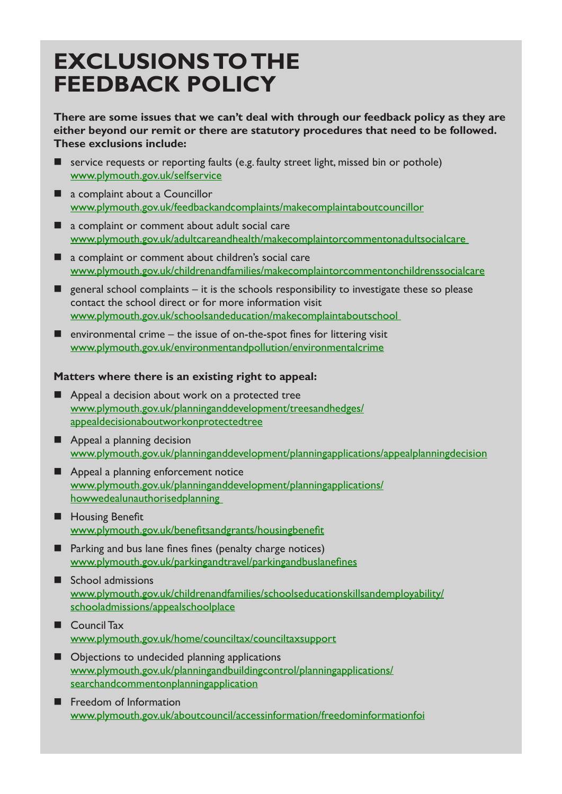### **EXCLUSIONS TO THE FEEDBACK POLICY**

**There are some issues that we can't deal with through our feedback policy as they are either beyond our remit or there are statutory procedures that need to be followed. These exclusions include:**

- service requests or reporting faults (e.g. faulty street light, missed bin or pothole) www.plymouth.gov.uk/selfservice
- a complaint about a Councillor www.plymouth.gov.uk/feedbackandcomplaints/makecomplaintaboutcouncillor
- a complaint or comment about adult social care www.plymouth.gov.uk/adultcareandhealth/makecomplaintorcommentonadultsocialcare
- a complaint or comment about children's social care www.plymouth.gov.uk/childrenandfamilies/makecomplaintorcommentonchildrenssocialcare
- general school complaints  $-$  it is the schools responsibility to investigate these so please contact the school direct or for more information visit www.plymouth.gov.uk/schoolsandeducation/makecomplaintaboutschool
- $\blacksquare$  environmental crime the issue of on-the-spot fines for littering visit www.plymouth.gov.uk/environmentandpollution/environmentalcrime

#### **Matters where there is an existing right to appeal:**

- **Appeal a decision about work on a protected tree** www.plymouth.gov.uk/planninganddevelopment/treesandhedges/ appealdecisionaboutworkonprotectedtree
- **Appeal a planning decision** www.plymouth.gov.uk/planninganddevelopment/planningapplications/appealplanningdecision
- **Appeal a planning enforcement notice** www.plymouth.gov.uk/planninganddevelopment/planningapplications/ howwedealunauthorisedplanning
- **H** Housing Benefit www.plymouth.gov.uk/benefitsandgrants/housingbenefit
- **Parking and bus lane fines fines (penalty charge notices)** www.plymouth.gov.uk/parkingandtravel/parkingandbuslanefines
- School admissions www.plymouth.gov.uk/childrenandfamilies/schoolseducationskillsandemployability/ schooladmissions/appealschoolplace
- Council Tax www.plymouth.gov.uk/home/counciltax/counciltaxsupport
- Objections to undecided planning applications www.plymouth.gov.uk/planningandbuildingcontrol/planningapplications/ searchandcommentonplanningapplication
- **Freedom of Information** www.plymouth.gov.uk/aboutcouncil/accessinformation/freedominformationfoi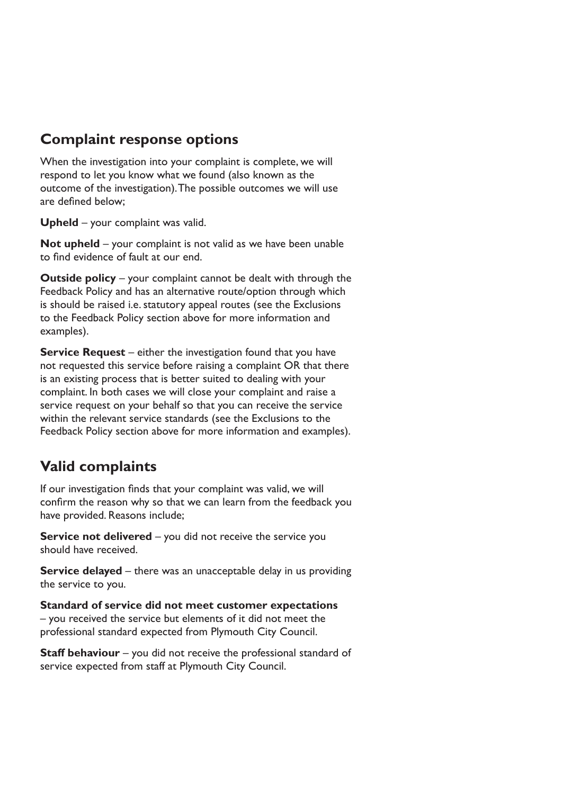#### **Complaint response options**

When the investigation into your complaint is complete, we will respond to let you know what we found (also known as the outcome of the investigation). The possible outcomes we will use are defined below;

**Upheld** – your complaint was valid.

**Not upheld** – your complaint is not valid as we have been unable to find evidence of fault at our end.

**Outside policy** – your complaint cannot be dealt with through the Feedback Policy and has an alternative route/option through which is should be raised i.e. statutory appeal routes (see the Exclusions to the Feedback Policy section above for more information and examples).

**Service Request** – either the investigation found that you have not requested this service before raising a complaint OR that there is an existing process that is better suited to dealing with your complaint. In both cases we will close your complaint and raise a service request on your behalf so that you can receive the service within the relevant service standards (see the Exclusions to the Feedback Policy section above for more information and examples).

### **Valid complaints**

If our investigation finds that your complaint was valid, we will confirm the reason why so that we can learn from the feedback you have provided. Reasons include;

**Service not delivered** – you did not receive the service you should have received.

**Service delayed** – there was an unacceptable delay in us providing the service to you.

**Standard of service did not meet customer expectations** – you received the service but elements of it did not meet the professional standard expected from Plymouth City Council.

**Staff behaviour** – you did not receive the professional standard of service expected from staff at Plymouth City Council.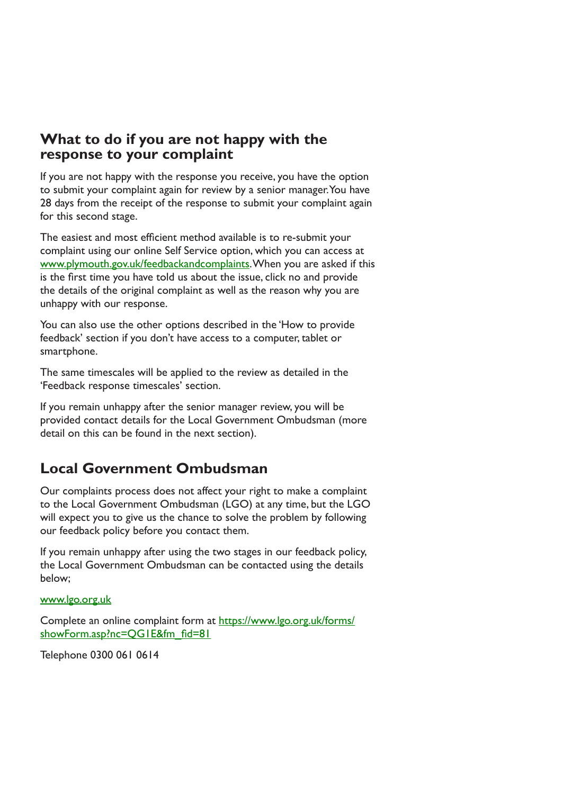#### **What to do if you are not happy with the response to your complaint**

If you are not happy with the response you receive, you have the option to submit your complaint again for review by a senior manager. You have 28 days from the receipt of the response to submit your complaint again for this second stage.

The easiest and most efficient method available is to re-submit your complaint using our online Self Service option, which you can access at www.plymouth.gov.uk/feedbackandcomplaints. When you are asked if this is the first time you have told us about the issue, click no and provide the details of the original complaint as well as the reason why you are unhappy with our response.

You can also use the other options described in the 'How to provide feedback' section if you don't have access to a computer, tablet or smartphone.

The same timescales will be applied to the review as detailed in the 'Feedback response timescales' section.

If you remain unhappy after the senior manager review, you will be provided contact details for the Local Government Ombudsman (more detail on this can be found in the next section).

### **Local Government Ombudsman**

Our complaints process does not affect your right to make a complaint to the Local Government Ombudsman (LGO) at any time, but the LGO will expect you to give us the chance to solve the problem by following our feedback policy before you contact them.

If you remain unhappy after using the two stages in our feedback policy, the Local Government Ombudsman can be contacted using the details below;

www.lgo.org.uk

Complete an online complaint form at https://www.lgo.org.uk/forms/ showForm.asp?nc=QG1E&fm\_fid=81

Telephone 0300 061 0614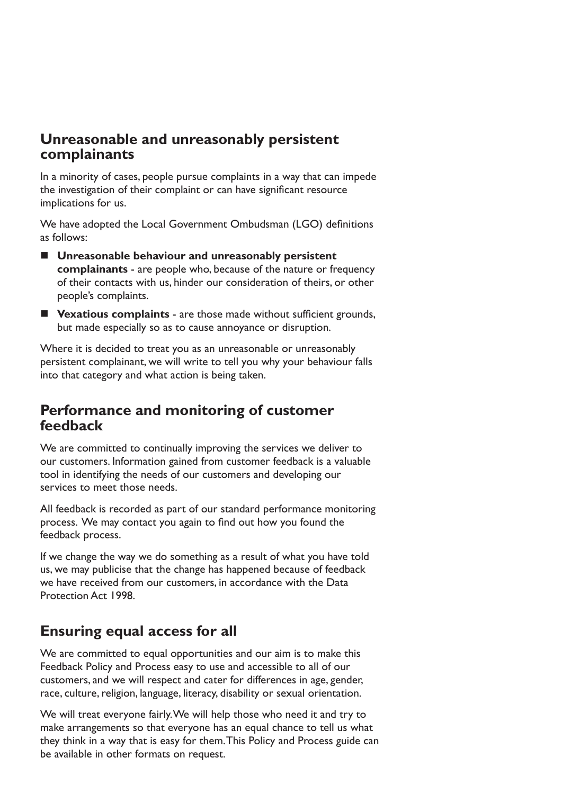#### **Unreasonable and unreasonably persistent complainants**

In a minority of cases, people pursue complaints in a way that can impede the investigation of their complaint or can have significant resource implications for us.

We have adopted the Local Government Ombudsman (LGO) definitions as follows:

- **Unreasonable behaviour and unreasonably persistent complainants** - are people who, because of the nature or frequency of their contacts with us, hinder our consideration of theirs, or other people's complaints.
- **Vexatious complaints** are those made without sufficient grounds, but made especially so as to cause annoyance or disruption.

Where it is decided to treat you as an unreasonable or unreasonably persistent complainant, we will write to tell you why your behaviour falls into that category and what action is being taken.

#### **Performance and monitoring of customer feedback**

We are committed to continually improving the services we deliver to our customers. Information gained from customer feedback is a valuable tool in identifying the needs of our customers and developing our services to meet those needs.

All feedback is recorded as part of our standard performance monitoring process. We may contact you again to find out how you found the feedback process.

If we change the way we do something as a result of what you have told us, we may publicise that the change has happened because of feedback we have received from our customers, in accordance with the Data Protection Act 1998.

### **Ensuring equal access for all**

We are committed to equal opportunities and our aim is to make this Feedback Policy and Process easy to use and accessible to all of our customers, and we will respect and cater for differences in age, gender, race, culture, religion, language, literacy, disability or sexual orientation.

We will treat everyone fairly. We will help those who need it and try to make arrangements so that everyone has an equal chance to tell us what they think in a way that is easy for them. This Policy and Process guide can be available in other formats on request.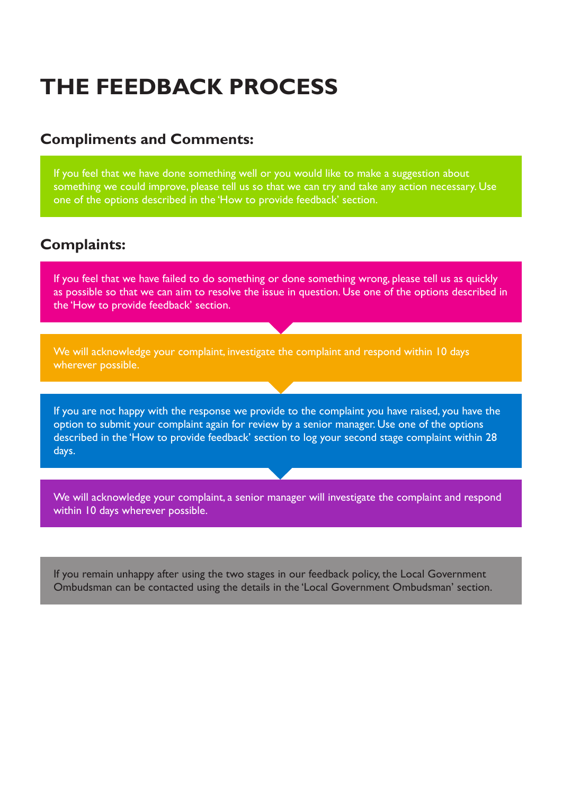## **THE FEEDBACK PROCESS**

#### **Compliments and Comments:**

If you feel that we have done something well or you would like to make a suggestion about something we could improve, please tell us so that we can try and take any action necessary. Use one of the options described in the 'How to provide feedback' section.

#### **Complaints:**

If you feel that we have failed to do something or done something wrong, please tell us as quickly as possible so that we can aim to resolve the issue in question. Use one of the options described in the 'How to provide feedback' section.

We will acknowledge your complaint, investigate the complaint and respond within 10 days wherever possible.

If you are not happy with the response we provide to the complaint you have raised, you have the option to submit your complaint again for review by a senior manager. Use one of the options described in the 'How to provide feedback' section to log your second stage complaint within 28 days.

We will acknowledge your complaint, a senior manager will investigate the complaint and respond within 10 days wherever possible.

If you remain unhappy after using the two stages in our feedback policy, the Local Government Ombudsman can be contacted using the details in the 'Local Government Ombudsman' section.